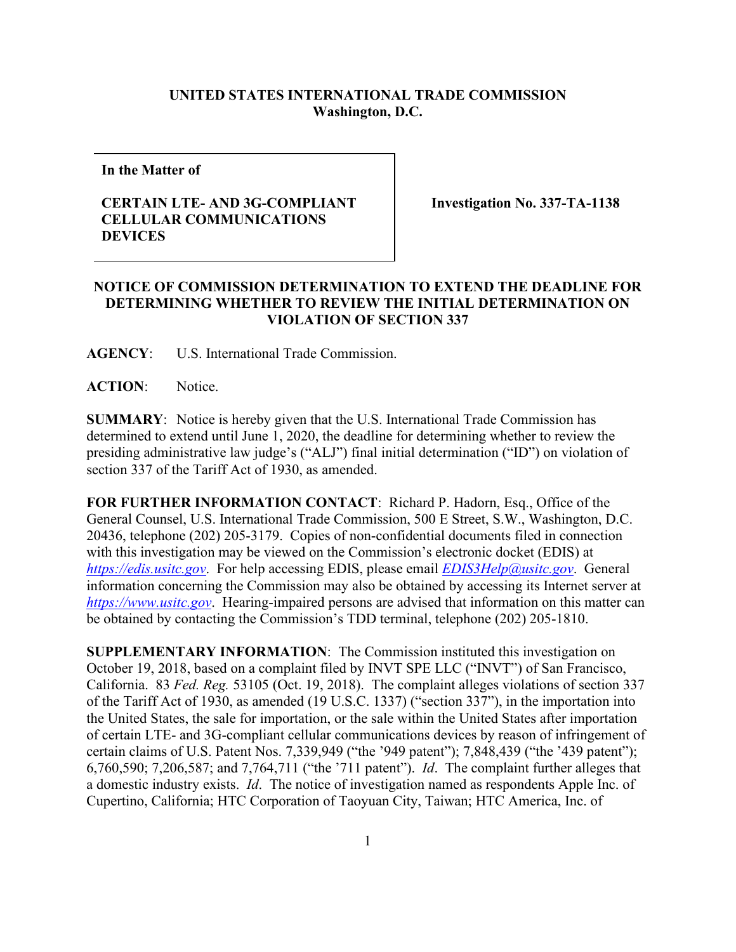## **UNITED STATES INTERNATIONAL TRADE COMMISSION Washington, D.C.**

**In the Matter of**

## **CERTAIN LTE- AND 3G-COMPLIANT CELLULAR COMMUNICATIONS DEVICES**

**Investigation No. 337-TA-1138**

## **NOTICE OF COMMISSION DETERMINATION TO EXTEND THE DEADLINE FOR DETERMINING WHETHER TO REVIEW THE INITIAL DETERMINATION ON VIOLATION OF SECTION 337**

**AGENCY**: U.S. International Trade Commission.

ACTION: Notice.

**SUMMARY**: Notice is hereby given that the U.S. International Trade Commission has determined to extend until June 1, 2020, the deadline for determining whether to review the presiding administrative law judge's ("ALJ") final initial determination ("ID") on violation of section 337 of the Tariff Act of 1930, as amended.

**FOR FURTHER INFORMATION CONTACT**: Richard P. Hadorn, Esq., Office of the General Counsel, U.S. International Trade Commission, 500 E Street, S.W., Washington, D.C. 20436, telephone (202) 205-3179. Copies of non-confidential documents filed in connection with this investigation may be viewed on the Commission's electronic docket (EDIS) at *[https://edis.usitc.gov](https://edis.usitc.gov/)*. For help accessing EDIS, please email *[EDIS3Help@usitc.gov](mailto:EDIS3Help@usitc.gov)*. General information concerning the Commission may also be obtained by accessing its Internet server at *[https://www.usitc.gov](https://www.usitc.gov/)*. Hearing-impaired persons are advised that information on this matter can be obtained by contacting the Commission's TDD terminal, telephone (202) 205-1810.

**SUPPLEMENTARY INFORMATION**: The Commission instituted this investigation on October 19, 2018, based on a complaint filed by INVT SPE LLC ("INVT") of San Francisco, California. 83 *Fed. Reg.* 53105 (Oct. 19, 2018). The complaint alleges violations of section 337 of the Tariff Act of 1930, as amended (19 U.S.C. 1337) ("section 337"), in the importation into the United States, the sale for importation, or the sale within the United States after importation of certain LTE- and 3G-compliant cellular communications devices by reason of infringement of certain claims of U.S. Patent Nos. 7,339,949 ("the '949 patent"); 7,848,439 ("the '439 patent"); 6,760,590; 7,206,587; and 7,764,711 ("the '711 patent"). *Id*. The complaint further alleges that a domestic industry exists. *Id*. The notice of investigation named as respondents Apple Inc. of Cupertino, California; HTC Corporation of Taoyuan City, Taiwan; HTC America, Inc. of